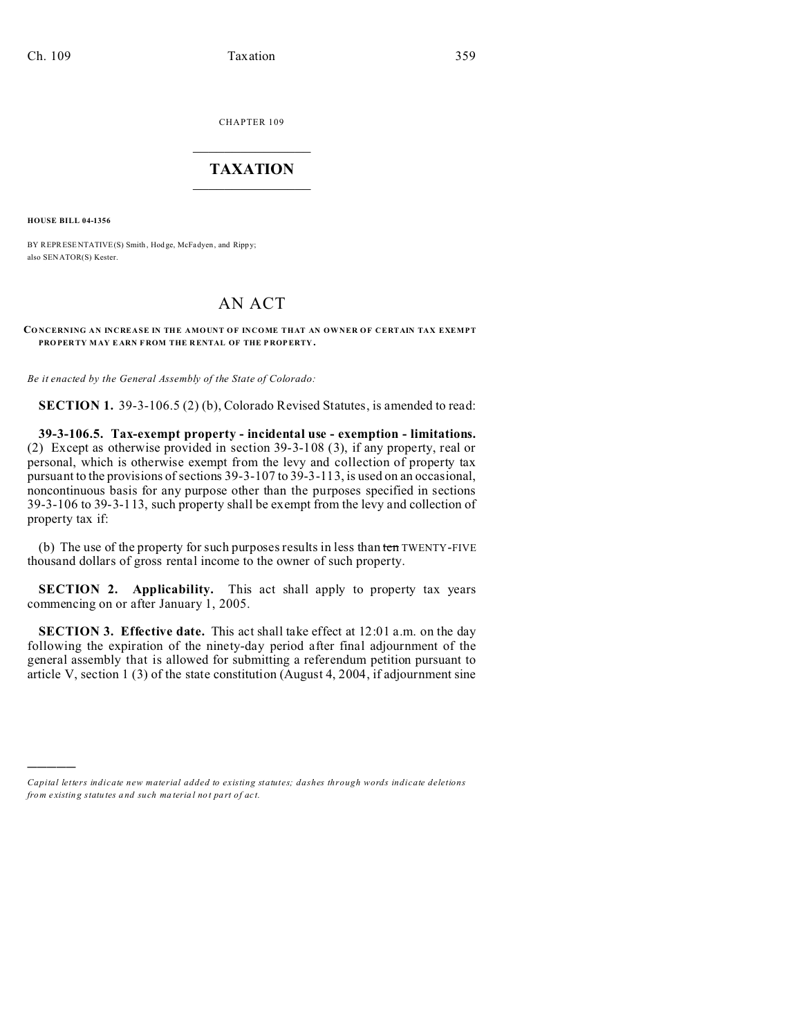CHAPTER 109  $\overline{\phantom{a}}$  , where  $\overline{\phantom{a}}$ 

## **TAXATION**  $\_$

**HOUSE BILL 04-1356**

)))))

BY REPRESENTATIVE(S) Smith, Hodge, McFadyen, and Rippy; also SENATOR(S) Kester.

## AN ACT

## CONCERNING AN INCREASE IN THE AMOUNT OF INCOME THAT AN OWNER OF CERTAIN TAX EXEMPT **PRO PER TY MAY E ARN F ROM THE R ENTAL OF THE P ROP ERTY .**

*Be it enacted by the General Assembly of the State of Colorado:*

**SECTION 1.** 39-3-106.5 (2) (b), Colorado Revised Statutes, is amended to read:

**39-3-106.5. Tax-exempt property - incidental use - exemption - limitations.** (2) Except as otherwise provided in section 39-3-108 (3), if any property, real or personal, which is otherwise exempt from the levy and collection of property tax pursuant to the provisions of sections 39-3-107 to 39-3-113, is used on an occasional, noncontinuous basis for any purpose other than the purposes specified in sections 39-3-106 to 39-3-113, such property shall be exempt from the levy and collection of property tax if:

(b) The use of the property for such purposes results in less than  $t_{en}$  TWENTY-FIVE thousand dollars of gross rental income to the owner of such property.

**SECTION 2. Applicability.** This act shall apply to property tax years commencing on or after January 1, 2005.

**SECTION 3. Effective date.** This act shall take effect at 12:01 a.m. on the day following the expiration of the ninety-day period after final adjournment of the general assembly that is allowed for submitting a referendum petition pursuant to article V, section 1 (3) of the state constitution (August 4, 2004, if adjournment sine

*Capital letters indicate new material added to existing statutes; dashes through words indicate deletions from e xistin g statu tes a nd such ma teria l no t pa rt of ac t.*